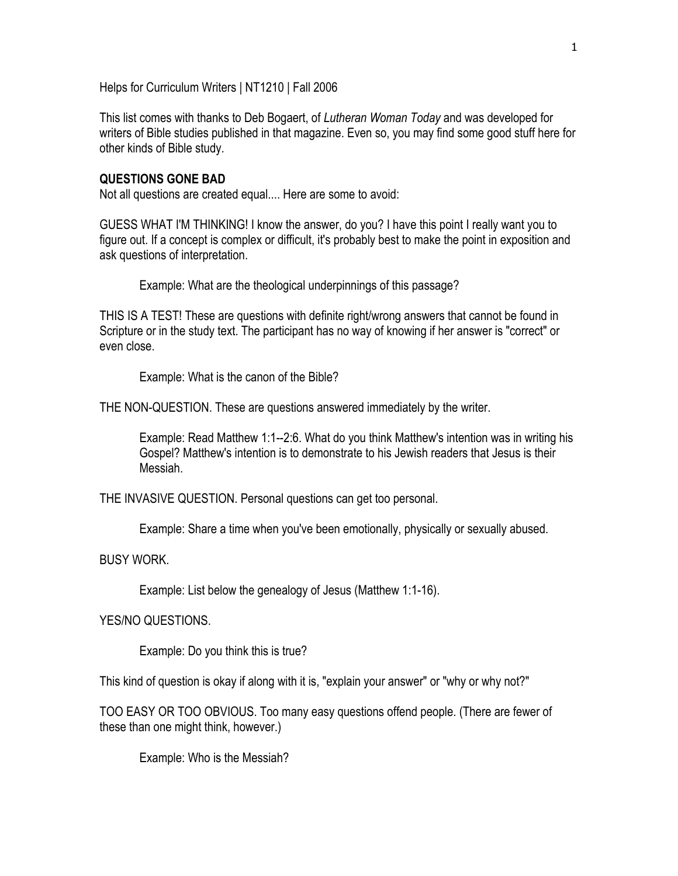Helps for Curriculum Writers | NT1210 | Fall 2006

This list comes with thanks to Deb Bogaert, of *Lutheran Woman Today* and was developed for writers of Bible studies published in that magazine. Even so, you may find some good stuff here for other kinds of Bible study.

#### **QUESTIONS GONE BAD**

Not all questions are created equal.... Here are some to avoid:

GUESS WHAT I'M THINKING! I know the answer, do you? I have this point I really want you to figure out. If a concept is complex or difficult, it's probably best to make the point in exposition and ask questions of interpretation.

Example: What are the theological underpinnings of this passage?

THIS IS A TEST! These are questions with definite right/wrong answers that cannot be found in Scripture or in the study text. The participant has no way of knowing if her answer is "correct" or even close.

Example: What is the canon of the Bible?

THE NON-QUESTION. These are questions answered immediately by the writer.

Example: Read Matthew 1:1--2:6. What do you think Matthew's intention was in writing his Gospel? Matthew's intention is to demonstrate to his Jewish readers that Jesus is their Messiah.

THE INVASIVE QUESTION. Personal questions can get too personal.

Example: Share a time when you've been emotionally, physically or sexually abused.

BUSY WORK.

Example: List below the genealogy of Jesus (Matthew 1:1-16).

YES/NO QUESTIONS.

Example: Do you think this is true?

This kind of question is okay if along with it is, "explain your answer" or "why or why not?"

TOO EASY OR TOO OBVIOUS. Too many easy questions offend people. (There are fewer of these than one might think, however.)

Example: Who is the Messiah?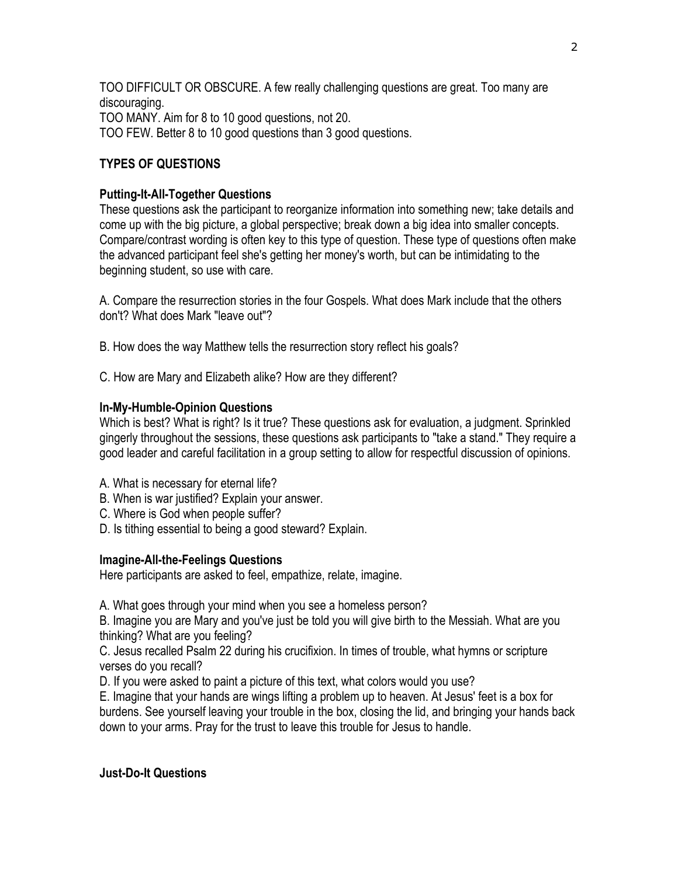TOO DIFFICULT OR OBSCURE. A few really challenging questions are great. Too many are discouraging. TOO MANY. Aim for 8 to 10 good questions, not 20. TOO FEW. Better 8 to 10 good questions than 3 good questions.

## **TYPES OF QUESTIONS**

### **Putting-It-All-Together Questions**

These questions ask the participant to reorganize information into something new; take details and come up with the big picture, a global perspective; break down a big idea into smaller concepts. Compare/contrast wording is often key to this type of question. These type of questions often make the advanced participant feel she's getting her money's worth, but can be intimidating to the beginning student, so use with care.

A. Compare the resurrection stories in the four Gospels. What does Mark include that the others don't? What does Mark "leave out"?

B. How does the way Matthew tells the resurrection story reflect his goals?

C. How are Mary and Elizabeth alike? How are they different?

### **In-My-Humble-Opinion Questions**

Which is best? What is right? Is it true? These questions ask for evaluation, a judgment. Sprinkled gingerly throughout the sessions, these questions ask participants to "take a stand." They require a good leader and careful facilitation in a group setting to allow for respectful discussion of opinions.

- A. What is necessary for eternal life?
- B. When is war justified? Explain your answer.
- C. Where is God when people suffer?
- D. Is tithing essential to being a good steward? Explain.

#### **Imagine-All-the-Feelings Questions**

Here participants are asked to feel, empathize, relate, imagine.

A. What goes through your mind when you see a homeless person?

B. Imagine you are Mary and you've just be told you will give birth to the Messiah. What are you thinking? What are you feeling?

C. Jesus recalled Psalm 22 during his crucifixion. In times of trouble, what hymns or scripture verses do you recall?

D. If you were asked to paint a picture of this text, what colors would you use?

E. Imagine that your hands are wings lifting a problem up to heaven. At Jesus' feet is a box for burdens. See yourself leaving your trouble in the box, closing the lid, and bringing your hands back down to your arms. Pray for the trust to leave this trouble for Jesus to handle.

## **Just-Do-It Questions**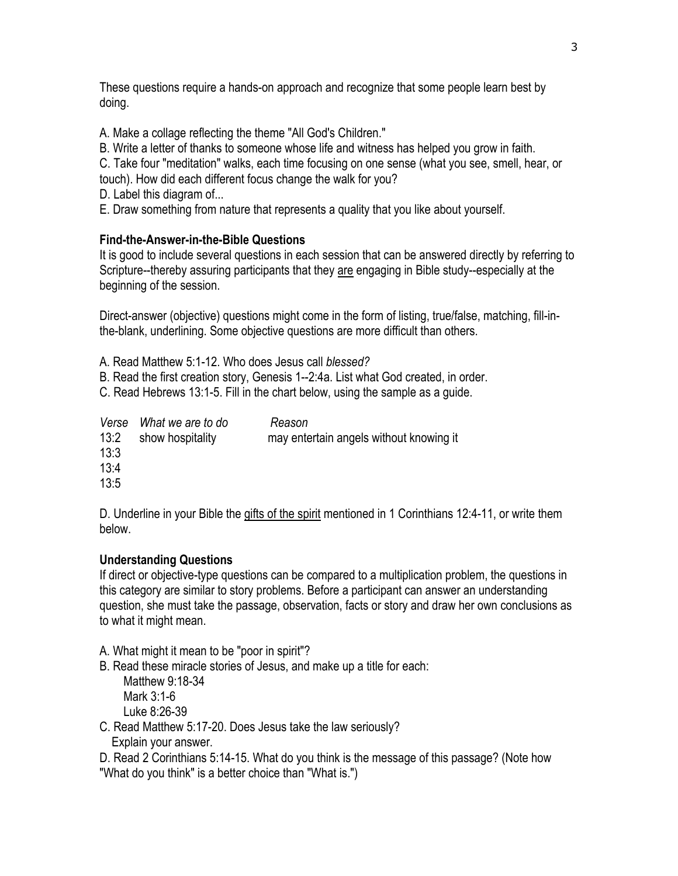These questions require a hands-on approach and recognize that some people learn best by doing.

A. Make a collage reflecting the theme "All God's Children."

B. Write a letter of thanks to someone whose life and witness has helped you grow in faith.

C. Take four "meditation" walks, each time focusing on one sense (what you see, smell, hear, or

touch). How did each different focus change the walk for you?

- D. Label this diagram of...
- E. Draw something from nature that represents a quality that you like about yourself.

## **Find-the-Answer-in-the-Bible Questions**

It is good to include several questions in each session that can be answered directly by referring to Scripture--thereby assuring participants that they are engaging in Bible study--especially at the beginning of the session.

Direct-answer (objective) questions might come in the form of listing, true/false, matching, fill-inthe-blank, underlining. Some objective questions are more difficult than others.

A. Read Matthew 5:1-12. Who does Jesus call *blessed?*

B. Read the first creation story, Genesis 1--2:4a. List what God created, in order.

C. Read Hebrews 13:1-5. Fill in the chart below, using the sample as a guide.

| 13:2<br>13:3<br>13:4 | Verse What we are to do<br>show hospitality | Reason<br>may entertain angels without knowing it |
|----------------------|---------------------------------------------|---------------------------------------------------|
|                      |                                             |                                                   |
| 13:5                 |                                             |                                                   |

D. Underline in your Bible the gifts of the spirit mentioned in 1 Corinthians 12:4-11, or write them below.

# **Understanding Questions**

If direct or objective-type questions can be compared to a multiplication problem, the questions in this category are similar to story problems. Before a participant can answer an understanding question, she must take the passage, observation, facts or story and draw her own conclusions as to what it might mean.

- A. What might it mean to be "poor in spirit"?
- B. Read these miracle stories of Jesus, and make up a title for each:

Matthew 9:18-34 Mark 3:1-6 Luke 8:26-39

C. Read Matthew 5:17-20. Does Jesus take the law seriously? Explain your answer.

D. Read 2 Corinthians 5:14-15. What do you think is the message of this passage? (Note how "What do you think" is a better choice than "What is.")